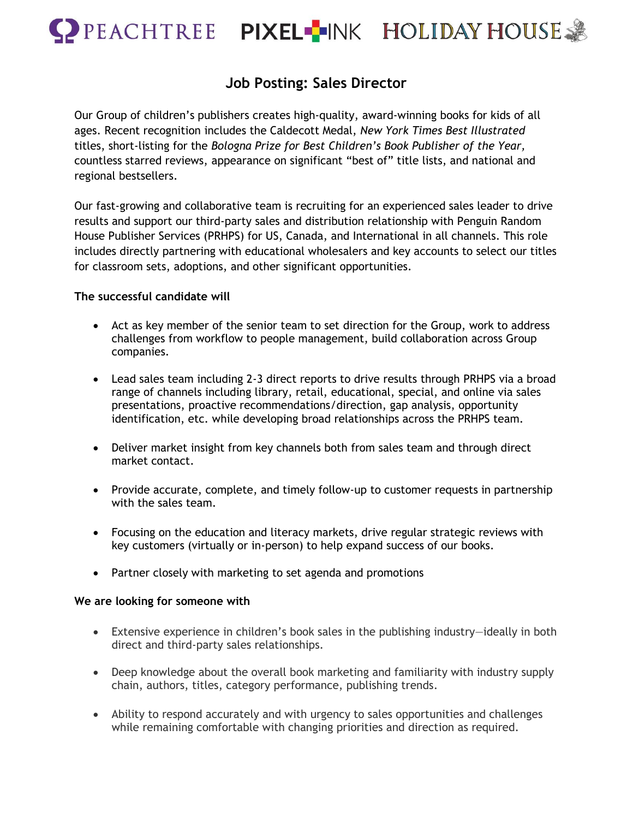

## **Job Posting: Sales Director**

Our Group of children's publishers creates high-quality, award-winning books for kids of all ages. Recent recognition includes the Caldecott Medal, *New York Times Best Illustrated* titles, short-listing for the *Bologna Prize for Best Children's Book Publisher of the Year,* countless starred reviews, appearance on significant "best of" title lists, and national and regional bestsellers.

Our fast-growing and collaborative team is recruiting for an experienced sales leader to drive results and support our third-party sales and distribution relationship with Penguin Random House Publisher Services (PRHPS) for US, Canada, and International in all channels. This role includes directly partnering with educational wholesalers and key accounts to select our titles for classroom sets, adoptions, and other significant opportunities.

## **The successful candidate will**

- Act as key member of the senior team to set direction for the Group, work to address challenges from workflow to people management, build collaboration across Group companies.
- Lead sales team including 2-3 direct reports to drive results through PRHPS via a broad range of channels including library, retail, educational, special, and online via sales presentations, proactive recommendations/direction, gap analysis, opportunity identification, etc. while developing broad relationships across the PRHPS team.
- Deliver market insight from key channels both from sales team and through direct market contact.
- Provide accurate, complete, and timely follow-up to customer requests in partnership with the sales team.
- Focusing on the education and literacy markets, drive regular strategic reviews with key customers (virtually or in-person) to help expand success of our books.
- Partner closely with marketing to set agenda and promotions

## **We are looking for someone with**

- Extensive experience in children's book sales in the publishing industry-ideally in both direct and third-party sales relationships.
- Deep knowledge about the overall book marketing and familiarity with industry supply chain, authors, titles, category performance, publishing trends.
- Ability to respond accurately and with urgency to sales opportunities and challenges while remaining comfortable with changing priorities and direction as required.